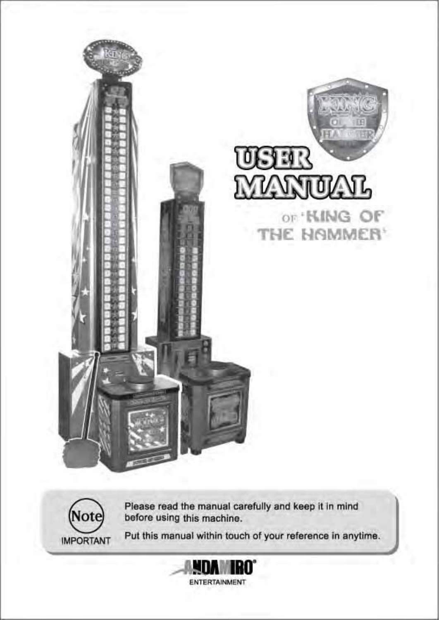



Please read the manual carefully and keep it in mind<br>before using this machine.

Put this manual within touch of your reference in anytime.

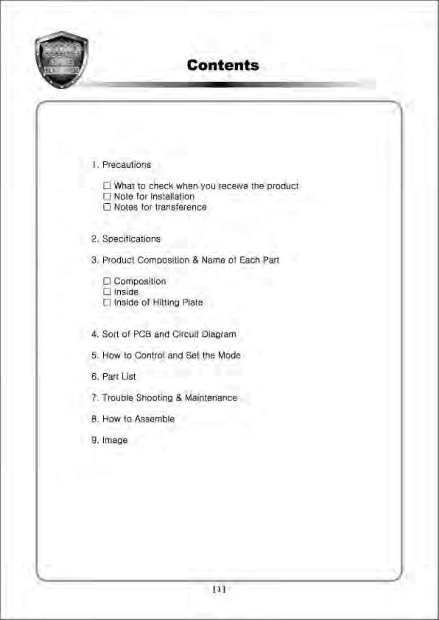

# **Contents**

| 1. Precautions |  |
|----------------|--|
|                |  |

What to check when you receive the product

Note for installation

Notes for transference

#### 2. Specifications

3. Product Composition & Name of Each Part

- Composition
	- $\Box$  Inside
- Inside of Hitting Plate

4. Sort of PCB and Circuit Diagram

- 5. How to Control and Set the Mode
- 6. Part List
- 7. Trouble Shooting & Maintenance
- B. How to Assemble
- 9. Image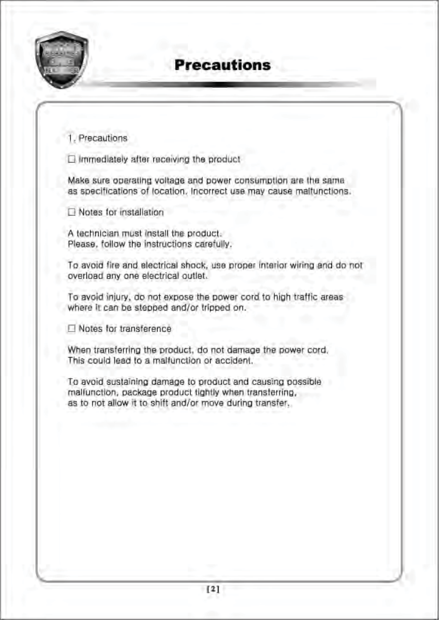

## **Precautions**

1. Precautions

Immediately after receiving the product

Make sure operating voltage and power consumption are the same as specifications of location. Incorrect use may cause malfunctions.

Notes for installation

A technician must install the product. Please, follow the instructions carefully.

To avoid fire and electrical shock, use proper interior wiring and do not overload any one electrical outlet.

To avoid injury, do not expose the power cord to high traffic areas where it can be stepped and/or tripped on.

Notes for transference

When transferring the product, do not damage the power cord. This could lead to a malfunction or accident.

To avoid sustaining damage to product and causing possible malfunction, package product tightly when transferring, as to not allow it to shift and/or move during transfer.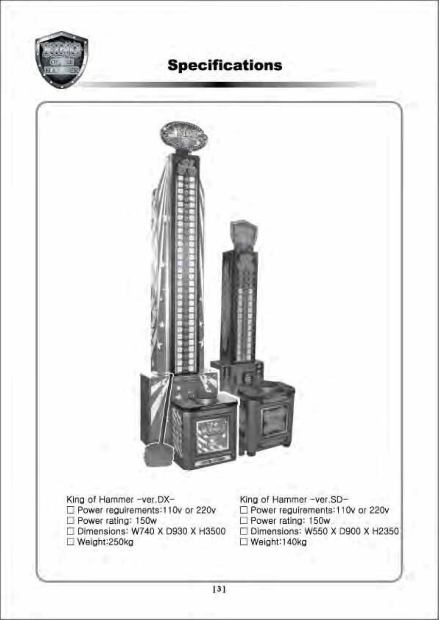

# **Specifications**

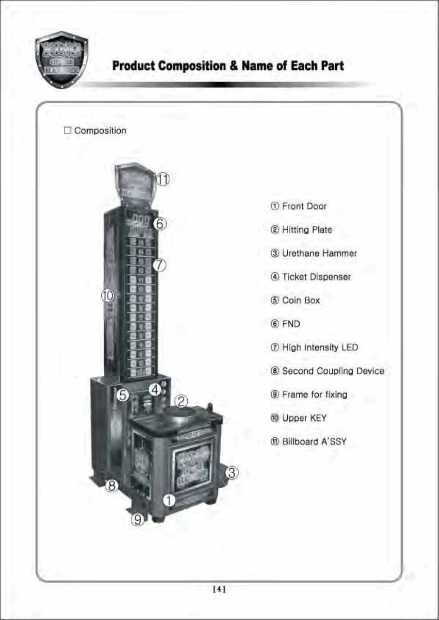

## **Product Composition & Name of Each Part**



- 1 Front Door
- 2 Hitting Plate
- 3 Urethane Hammer
- 4 Ticket Dispenser
- 6 Coin Box
- 6 FND
- 7 High Intensity LED
- 8 Second Coupling Device
- **E** Frame for fixing
- **@ Upper KEY**
- m Billboard A'SSY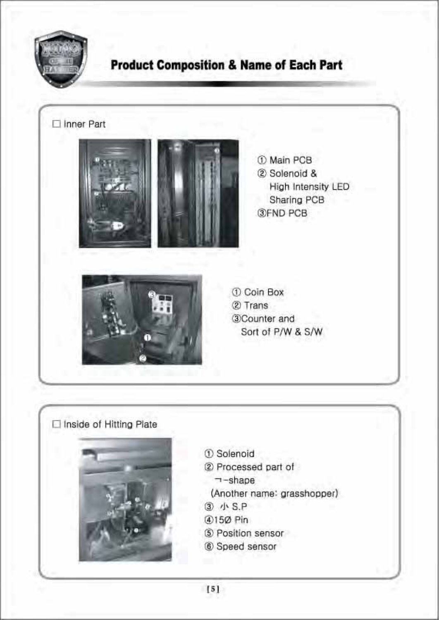

## **Product Composition & Name of Each Part**







1 Main PCB 2 Solenoid & High Intensity LED Sharing PCB **3FND PCB** 



1 Coin Box 2 Trans 30Counter and Sort of P/W & S/W





- 1 Solenoid
- 2 Processed part of
	- $\neg$ -shape
	- (Another name: grasshopper)
- 3 小 S.P
- 4150 Pin
- 5 Position sensor
- 6 Speed sensor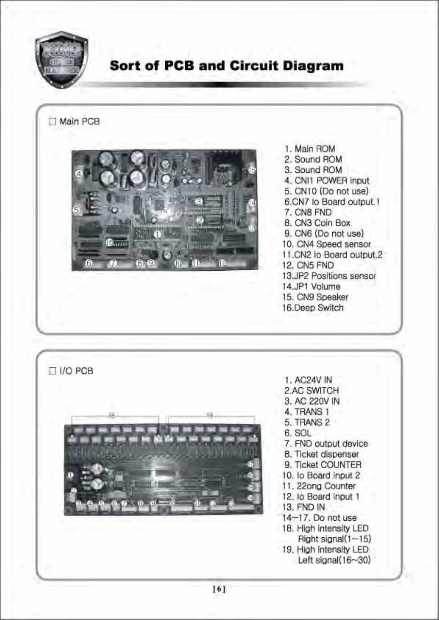

## **Sort of PCB and Circuit Diagram**

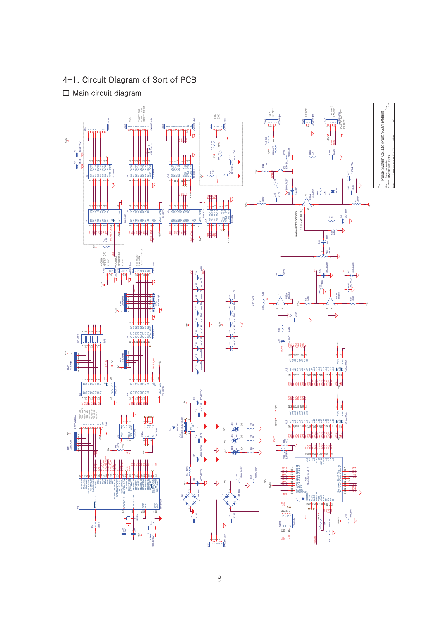#### 4-1. Circuit Diagram of Sort of PCB

 $\Box$  Main circuit diagram

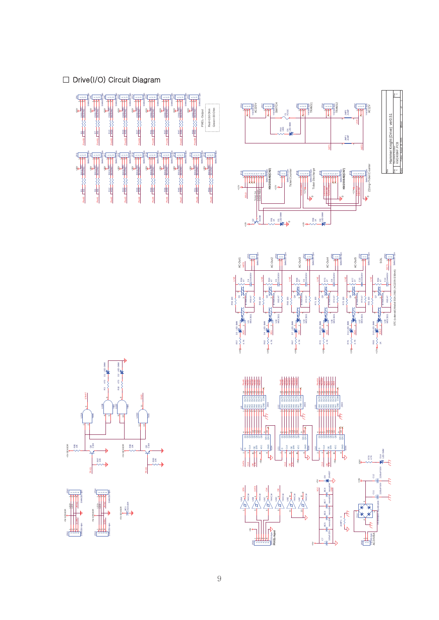#### $\Box$  Drive(I/O) Circuit Diagram





Date: Sheet of the contract of CDE of the Sheet of the Sheet of Sheet of Sheet of Sheet

Friday , August 26, 2005

|<br>|-<br>|







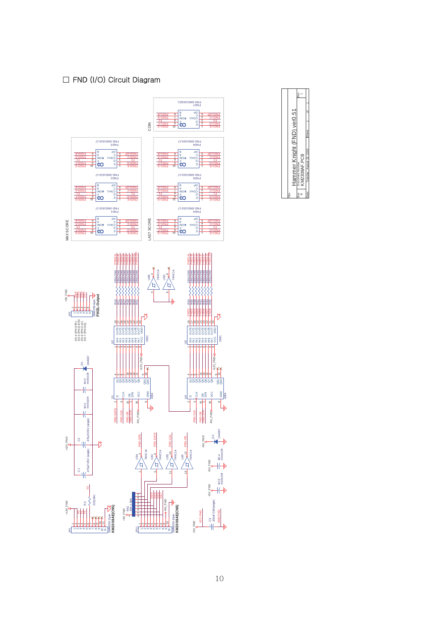#### $\Box$  FND (I/O) Circuit Diagram



|  |                             | Rev          |              |  |
|--|-----------------------------|--------------|--------------|--|
|  |                             |              |              |  |
|  |                             |              |              |  |
|  |                             |              |              |  |
|  |                             |              |              |  |
|  | Hammer Knight (FND) ver0.51 | ocument Numb | KM2308AF.PCB |  |
|  |                             |              |              |  |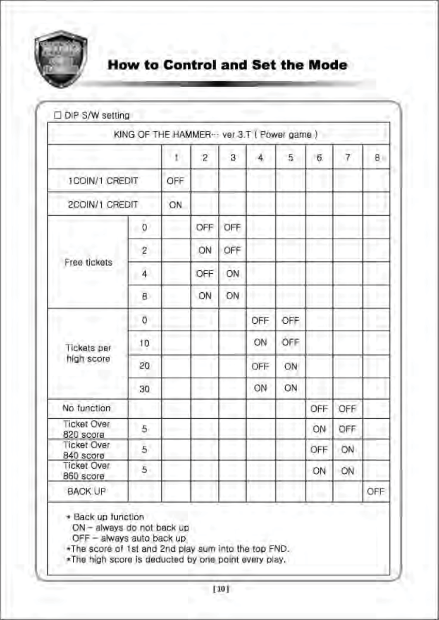

## **How to Control and Set the Mode**

|                                 | KING OF THE HAMMER -- ver 3.T ( Power game ) |     |                |              |     |     |     |                |     |
|---------------------------------|----------------------------------------------|-----|----------------|--------------|-----|-----|-----|----------------|-----|
|                                 |                                              | ť   | $\overline{2}$ | $\mathbf{B}$ | 4   | 5   | б.  | $\overline{7}$ | 8   |
| <b>ICOIN/1 CREDIT</b>           |                                              | OFF |                |              |     |     |     |                |     |
| 2COIN/1 CREDIT                  |                                              | ON. |                |              |     |     |     |                |     |
|                                 | 0<br>٠                                       |     | OFF            | OFF          |     |     |     |                |     |
|                                 | 2                                            |     | ON             | OFF          |     |     |     |                |     |
| Free tickets                    | $\overline{4}$                               |     | OFF            | ON           |     |     |     |                |     |
|                                 | B.                                           |     | ON             | ON           |     |     |     |                |     |
| og 4. ap                        | Ü                                            |     |                |              | OFF | OFF |     |                | Đ.  |
| <b>Tickets</b> per              | 10                                           |     |                |              | ON  | OFF |     |                |     |
| high score                      | 20                                           |     |                |              | OFF | ON  |     |                |     |
|                                 | 30                                           |     |                |              | ON  | ON  |     | m,             |     |
| No function                     |                                              |     |                |              |     |     | OFF | OFF            |     |
| <b>Ticket Over</b><br>820 score | 5                                            |     |                |              |     |     | ON  | OFF            |     |
| <b>Ticket Over</b><br>840 score | 5                                            |     |                |              |     |     | OFF | ÖN             |     |
| <b>Ticket Over</b><br>860 score | 5                                            |     |                |              |     |     | ON  | ON             |     |
| <b>BACK UP</b>                  |                                              |     |                |              |     |     | œ   |                | OFF |

\* Back up function

ON - always do not back up

OFF - always auto back up

.The score of 1st and 2nd play sum into the top FND.

\*The high score is deducted by one point every play.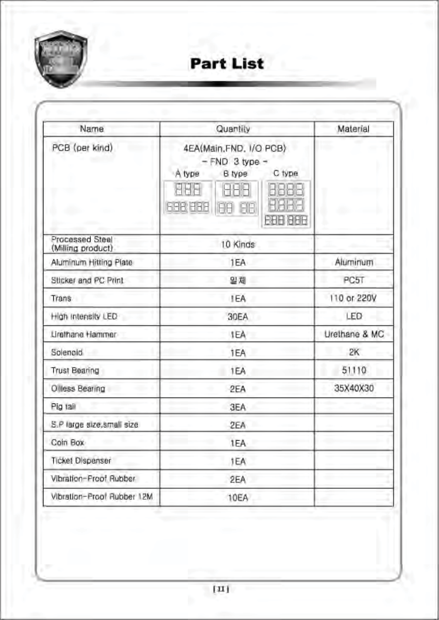

# Part List

| Name                                 | Material                                                                                                                    |               |
|--------------------------------------|-----------------------------------------------------------------------------------------------------------------------------|---------------|
| PCB (per kind)                       | 4EA(Main, FND, I/O PCB)<br>$- FND 3 type -$<br>C type<br>B type<br>A type<br><b>SISBE</b><br>698,939<br>FH<br>HH<br>BBB 886 |               |
| Processed Steel<br>(Milling product) | 10 Kinds                                                                                                                    |               |
| Aluminum Hitting Plate               | 1EA                                                                                                                         | Aluminum      |
| Sticker and PC Print                 | 일체                                                                                                                          | PC5T          |
| Trans                                | <b>IEA</b>                                                                                                                  | 110 or 220V   |
| High Intensity LED                   | 30EA                                                                                                                        | LED           |
| Urathane Hammer                      | 1EA                                                                                                                         | Urethane & MC |
| Solenoid                             | 1EA                                                                                                                         | 2K            |
| <b>Trust Bearing</b>                 | 1EA                                                                                                                         | 51110         |
| Olless Bearing                       | 2EA                                                                                                                         | 35X40X30      |
| Pig tail                             | 3EA                                                                                                                         |               |
| S.P large size, small size           | 2EA                                                                                                                         |               |
| Coin Box                             | 1EA                                                                                                                         |               |
| Ticket Dispenser                     | 1EA                                                                                                                         |               |
| Vibration-Proof Rubber               | 2EA                                                                                                                         |               |
| Vibration-Proof Rubber 12M           | 10EA                                                                                                                        |               |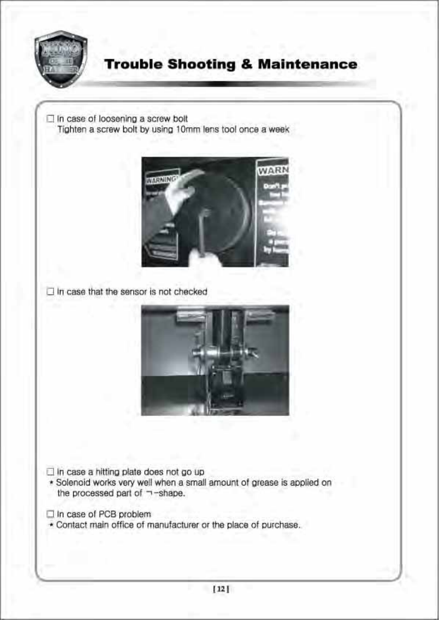

## **Trouble Shooting & Maintenance**

 $\Box$  In case of loosening a screw bolt Tighten a screw bolt by using 10mm lens tool once a week



 $\Box$  In case that the sensor is not checked



 $\Box$  In case a hitting plate does not go up

- \* Solenoid works very well when a small amount of grease is applied on the processed part of  $\neg$ -shape.
- In case of PCB problem
- \* Contact main office of manufacturer or the place of purchase.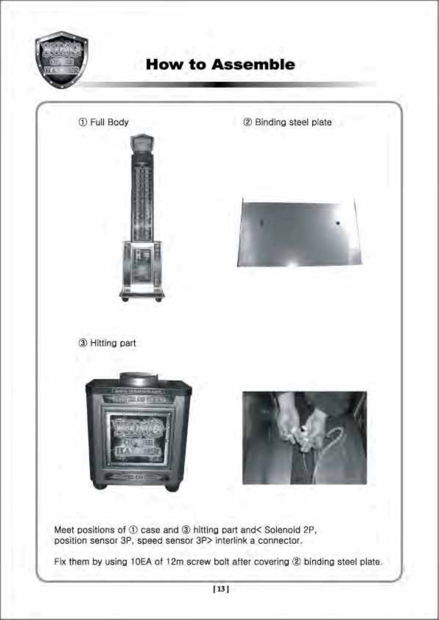

# **How to Assemble**

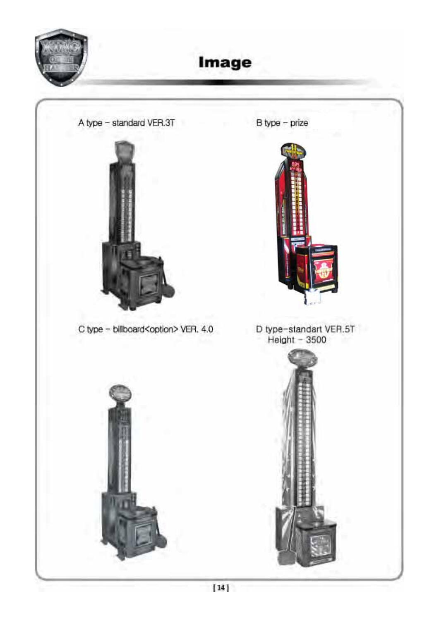